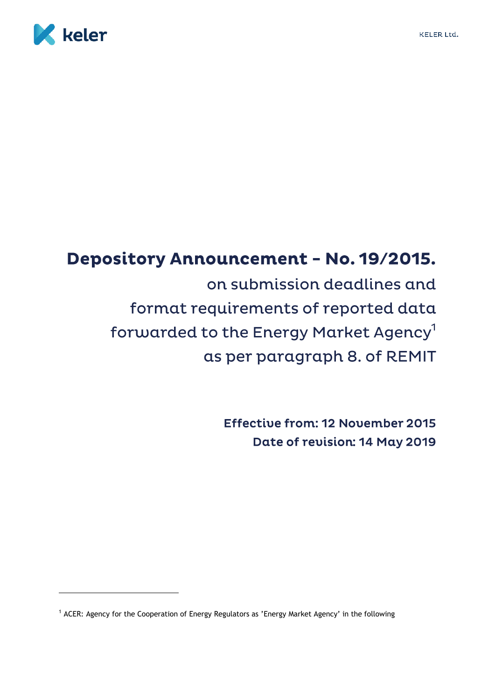

# **Depository Announcement - No. 19/2015.** on submission deadlines and format requirements of reported data forwarded to the Energy Market Agency<sup>1</sup>

as per paragraph 8. of REMIT

**Effective from: 12 November 2015** Date of revision: 14 May 2019

<sup>&</sup>lt;sup>1</sup> ACER: Agency for the Cooperation of Energy Regulators as 'Energy Market Agency' in the following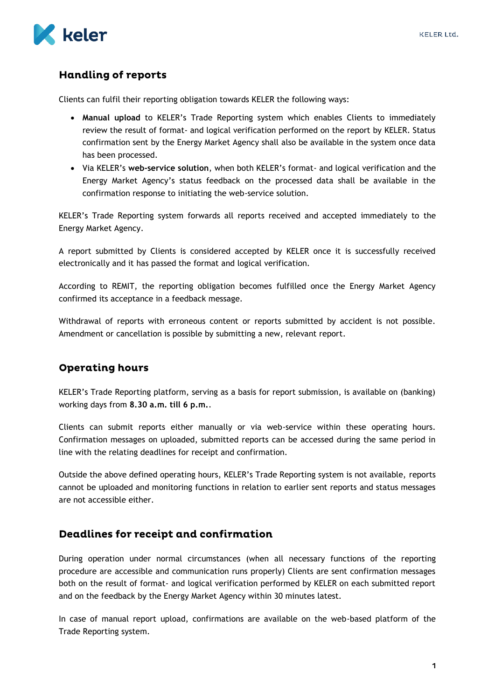

## **Handling of reports**

Clients can fulfil their reporting obligation towards KELER the following ways:

- **Manual upload** to KELER's Trade Reporting system which enables Clients to immediately review the result of format- and logical verification performed on the report by KELER. Status confirmation sent by the Energy Market Agency shall also be available in the system once data has been processed.
- Via KELER's **web-service solution**, when both KELER's format- and logical verification and the Energy Market Agency's status feedback on the processed data shall be available in the confirmation response to initiating the web-service solution.

KELER's Trade Reporting system forwards all reports received and accepted immediately to the Energy Market Agency.

A report submitted by Clients is considered accepted by KELER once it is successfully received electronically and it has passed the format and logical verification.

According to REMIT, the reporting obligation becomes fulfilled once the Energy Market Agency confirmed its acceptance in a feedback message.

Withdrawal of reports with erroneous content or reports submitted by accident is not possible. Amendment or cancellation is possible by submitting a new, relevant report.

## **Operating hours**

KELER's Trade Reporting platform, serving as a basis for report submission, is available on (banking) working days from **8.30 a.m. till 6 p.m.**.

Clients can submit reports either manually or via web-service within these operating hours. Confirmation messages on uploaded, submitted reports can be accessed during the same period in line with the relating deadlines for receipt and confirmation.

Outside the above defined operating hours, KELER's Trade Reporting system is not available, reports cannot be uploaded and monitoring functions in relation to earlier sent reports and status messages are not accessible either.

### Deadlines for receipt and confirmation

During operation under normal circumstances (when all necessary functions of the reporting procedure are accessible and communication runs properly) Clients are sent confirmation messages both on the result of format- and logical verification performed by KELER on each submitted report and on the feedback by the Energy Market Agency within 30 minutes latest.

In case of manual report upload, confirmations are available on the web-based platform of the Trade Reporting system.